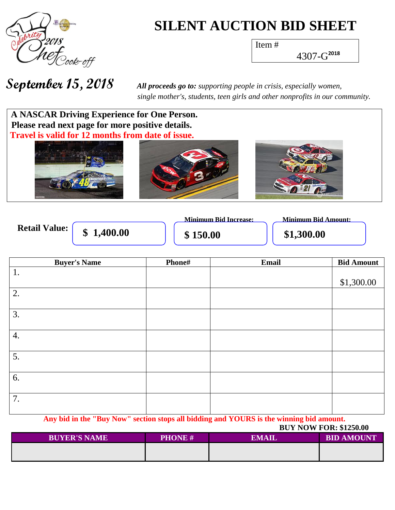

# **SILENT AUCTION BID SHEET**

Item #

4307-G **2018**

**September 15, 2018** *All proceeds go to: supporting people in crisis, especially women, single mother's, students, teen girls and other nonprofits in our community.*

### **A NASCAR Driving Experience for One Person. Please read next page for more positive details. Travel is valid for 12 months from date of issue.**



|                      |          | <b>Minimum Bid Increase:</b> | Minimum Bid Amount: |
|----------------------|----------|------------------------------|---------------------|
| <b>Retail Value:</b> | 1,400.00 | 150.00                       | \$1,300.00          |

| <b>Buyer's Name</b> | Phone# | Email | <b>Bid Amount</b> |
|---------------------|--------|-------|-------------------|
| 1.                  |        |       |                   |
|                     |        |       | \$1,300.00        |
| 2.                  |        |       |                   |
|                     |        |       |                   |
| 3.                  |        |       |                   |
|                     |        |       |                   |
| 4.                  |        |       |                   |
|                     |        |       |                   |
| 5.                  |        |       |                   |
|                     |        |       |                   |
| 6.                  |        |       |                   |
|                     |        |       |                   |
| 7.                  |        |       |                   |
|                     |        |       |                   |

**Any bid in the "Buy Now" section stops all bidding and YOURS is the winning bid amount.**

 **BUY NOW FOR: \$1250.00**

| <b>BUYER'S NAME</b> | <b>PHONE#</b> | <b>EMAIL</b> | <b>BID AMOUNT</b> |
|---------------------|---------------|--------------|-------------------|
|                     |               |              |                   |
|                     |               |              |                   |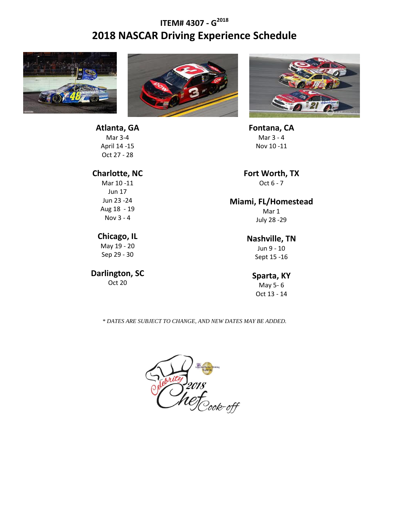## **ITEM# 4307 - G 2018 2018 NASCAR Driving Experience Schedule**



**Atlanta, GA** Mar 3-4 April 14 -15





**Fontana, CA** Mar 3 - 4 Nov 10 -11

**Fort Worth, TX** Oct 6 - 7

#### **Miami, FL/Homestead**

Mar 1 July 28 -29

#### **Nashville, TN**

Jun 9 - 10 Sept 15 -16

#### **Sparta, KY**

May 5- 6 Oct 13 - 14

*\* DATES ARE SUBJECT TO CHANGE, AND NEW DATES MAY BE ADDED.*



Oct 27 - 28

#### **Charlotte, NC**

Mar 10 -11 Jun 17 Jun 23 -24 Aug 18 - 19 Nov 3 - 4

#### **Chicago, IL**

May 19 - 20 Sep 29 - 30

#### **Darlington, SC**

Oct 20